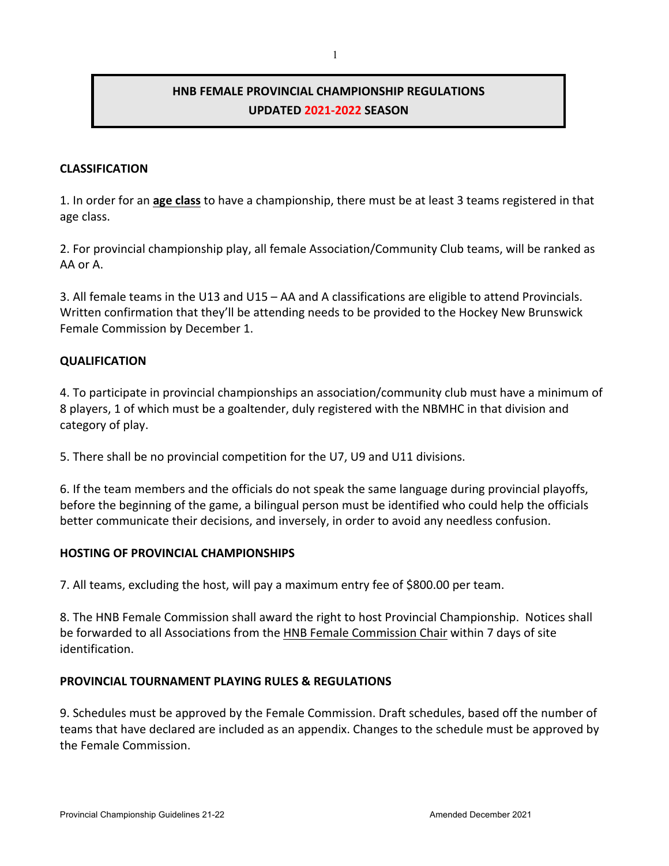# **HNB FEMALE PROVINCIAL CHAMPIONSHIP REGULATIONS UPDATED 2021-2022 SEASON**

## **CLASSIFICATION**

1. In order for an **age class** to have a championship, there must be at least 3 teams registered in that age class.

2. For provincial championship play, all female Association/Community Club teams, will be ranked as AA or A.

3. All female teams in the U13 and U15 – AA and A classifications are eligible to attend Provincials. Written confirmation that they'll be attending needs to be provided to the Hockey New Brunswick Female Commission by December 1.

#### **QUALIFICATION**

4. To participate in provincial championships an association/community club must have a minimum of 8 players, 1 of which must be a goaltender, duly registered with the NBMHC in that division and category of play.

5. There shall be no provincial competition for the U7, U9 and U11 divisions.

6. If the team members and the officials do not speak the same language during provincial playoffs, before the beginning of the game, a bilingual person must be identified who could help the officials better communicate their decisions, and inversely, in order to avoid any needless confusion.

#### **HOSTING OF PROVINCIAL CHAMPIONSHIPS**

7. All teams, excluding the host, will pay a maximum entry fee of \$800.00 per team.

8. The HNB Female Commission shall award the right to host Provincial Championship. Notices shall be forwarded to all Associations from the HNB Female Commission Chair within 7 days of site identification.

#### **PROVINCIAL TOURNAMENT PLAYING RULES & REGULATIONS**

9. Schedules must be approved by the Female Commission. Draft schedules, based off the number of teams that have declared are included as an appendix. Changes to the schedule must be approved by the Female Commission.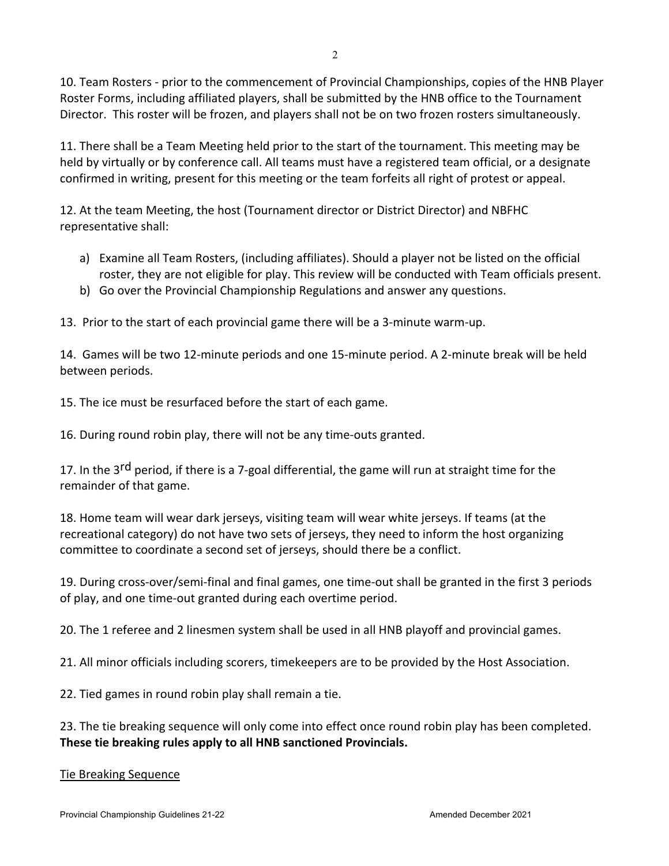10. Team Rosters - prior to the commencement of Provincial Championships, copies of the HNB Player Roster Forms, including affiliated players, shall be submitted by the HNB office to the Tournament Director. This roster will be frozen, and players shall not be on two frozen rosters simultaneously.

11. There shall be a Team Meeting held prior to the start of the tournament. This meeting may be held by virtually or by conference call. All teams must have a registered team official, or a designate confirmed in writing, present for this meeting or the team forfeits all right of protest or appeal.

12. At the team Meeting, the host (Tournament director or District Director) and NBFHC representative shall:

- a) Examine all Team Rosters, (including affiliates). Should a player not be listed on the official roster, they are not eligible for play. This review will be conducted with Team officials present.
- b) Go over the Provincial Championship Regulations and answer any questions.

13. Prior to the start of each provincial game there will be a 3-minute warm-up.

14. Games will be two 12-minute periods and one 15-minute period. A 2-minute break will be held between periods.

15. The ice must be resurfaced before the start of each game.

16. During round robin play, there will not be any time-outs granted.

17. In the 3<sup>rd</sup> period, if there is a 7-goal differential, the game will run at straight time for the remainder of that game.

18. Home team will wear dark jerseys, visiting team will wear white jerseys. If teams (at the recreational category) do not have two sets of jerseys, they need to inform the host organizing committee to coordinate a second set of jerseys, should there be a conflict.

19. During cross-over/semi-final and final games, one time-out shall be granted in the first 3 periods of play, and one time-out granted during each overtime period.

20. The 1 referee and 2 linesmen system shall be used in all HNB playoff and provincial games.

21. All minor officials including scorers, timekeepers are to be provided by the Host Association.

22. Tied games in round robin play shall remain a tie.

23. The tie breaking sequence will only come into effect once round robin play has been completed. **These tie breaking rules apply to all HNB sanctioned Provincials.**

#### Tie Breaking Sequence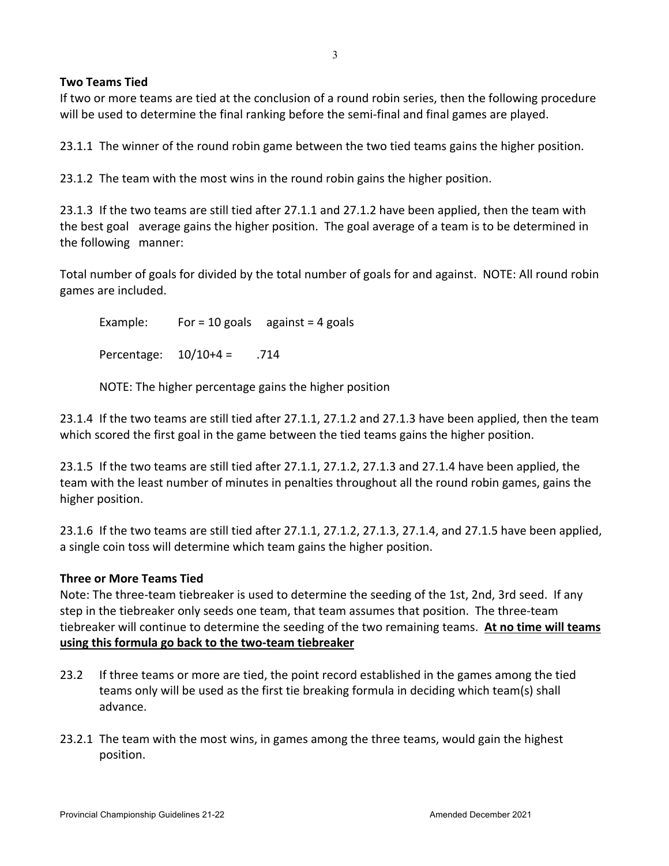## **Two Teams Tied**

If two or more teams are tied at the conclusion of a round robin series, then the following procedure will be used to determine the final ranking before the semi-final and final games are played.

23.1.1 The winner of the round robin game between the two tied teams gains the higher position.

23.1.2 The team with the most wins in the round robin gains the higher position.

23.1.3 If the two teams are still tied after 27.1.1 and 27.1.2 have been applied, then the team with the best goal average gains the higher position. The goal average of a team is to be determined in the following manner:

Total number of goals for divided by the total number of goals for and against. NOTE: All round robin games are included.

Example: For = 10 goals against = 4 goals

Percentage: 10/10+4 = .714

NOTE: The higher percentage gains the higher position

23.1.4 If the two teams are still tied after 27.1.1, 27.1.2 and 27.1.3 have been applied, then the team which scored the first goal in the game between the tied teams gains the higher position.

23.1.5 If the two teams are still tied after 27.1.1, 27.1.2, 27.1.3 and 27.1.4 have been applied, the team with the least number of minutes in penalties throughout all the round robin games, gains the higher position.

23.1.6 If the two teams are still tied after 27.1.1, 27.1.2, 27.1.3, 27.1.4, and 27.1.5 have been applied, a single coin toss will determine which team gains the higher position.

## **Three or More Teams Tied**

Note: The three-team tiebreaker is used to determine the seeding of the 1st, 2nd, 3rd seed. If any step in the tiebreaker only seeds one team, that team assumes that position. The three-team tiebreaker will continue to determine the seeding of the two remaining teams. **At no time will teams using this formula go back to the two-team tiebreaker**

- 23.2 If three teams or more are tied, the point record established in the games among the tied teams only will be used as the first tie breaking formula in deciding which team(s) shall advance.
- 23.2.1 The team with the most wins, in games among the three teams, would gain the highest position.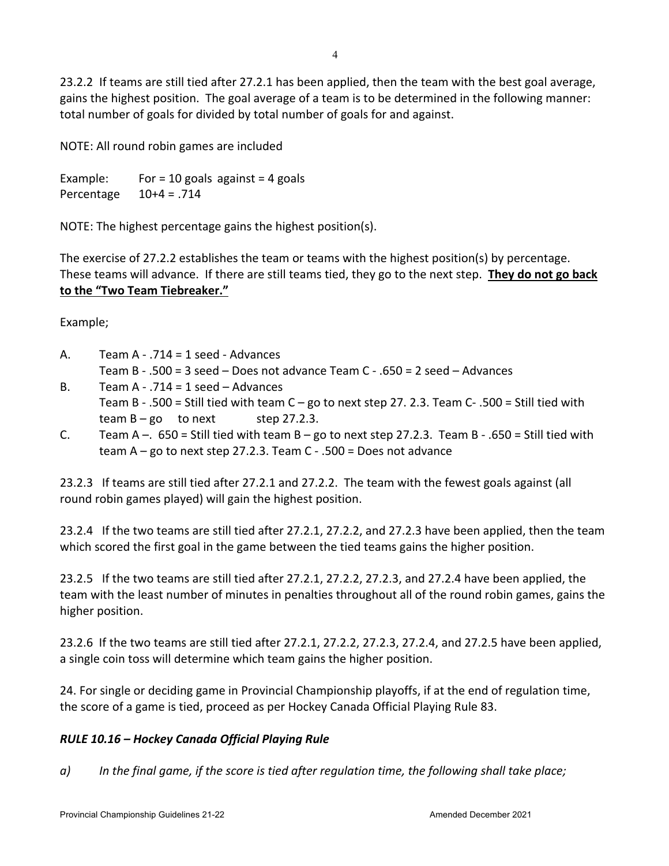23.2.2 If teams are still tied after 27.2.1 has been applied, then the team with the best goal average, gains the highest position. The goal average of a team is to be determined in the following manner: total number of goals for divided by total number of goals for and against.

NOTE: All round robin games are included

Example: For = 10 goals against = 4 goals Percentage 10+4 = .714

NOTE: The highest percentage gains the highest position(s).

The exercise of 27.2.2 establishes the team or teams with the highest position(s) by percentage. These teams will advance. If there are still teams tied, they go to the next step. **They do not go back to the "Two Team Tiebreaker."**

Example;

- A. Team A .714 = 1 seed Advances Team B - .500 = 3 seed – Does not advance Team C - .650 = 2 seed – Advances
- B. Team A  $-$  .714 = 1 seed  $-$  Advances Team B - .500 = Still tied with team  $C - go$  to next step 27. 2.3. Team  $C - 0.500 =$  Still tied with team  $B - go$  to next step 27.2.3.
- C. Team A –.  $650$  = Still tied with team B go to next step 27.2.3. Team B .650 = Still tied with team  $A - go$  to next step 27.2.3. Team  $C - 0.500 = Do$ es not advance

23.2.3 If teams are still tied after 27.2.1 and 27.2.2. The team with the fewest goals against (all round robin games played) will gain the highest position.

23.2.4 If the two teams are still tied after 27.2.1, 27.2.2, and 27.2.3 have been applied, then the team which scored the first goal in the game between the tied teams gains the higher position.

23.2.5 If the two teams are still tied after 27.2.1, 27.2.2, 27.2.3, and 27.2.4 have been applied, the team with the least number of minutes in penalties throughout all of the round robin games, gains the higher position.

23.2.6 If the two teams are still tied after 27.2.1, 27.2.2, 27.2.3, 27.2.4, and 27.2.5 have been applied, a single coin toss will determine which team gains the higher position.

24. For single or deciding game in Provincial Championship playoffs, if at the end of regulation time, the score of a game is tied, proceed as per Hockey Canada Official Playing Rule 83.

## *RULE 10.16 – Hockey Canada Official Playing Rule*

*a) In the final game, if the score is tied after regulation time, the following shall take place;*